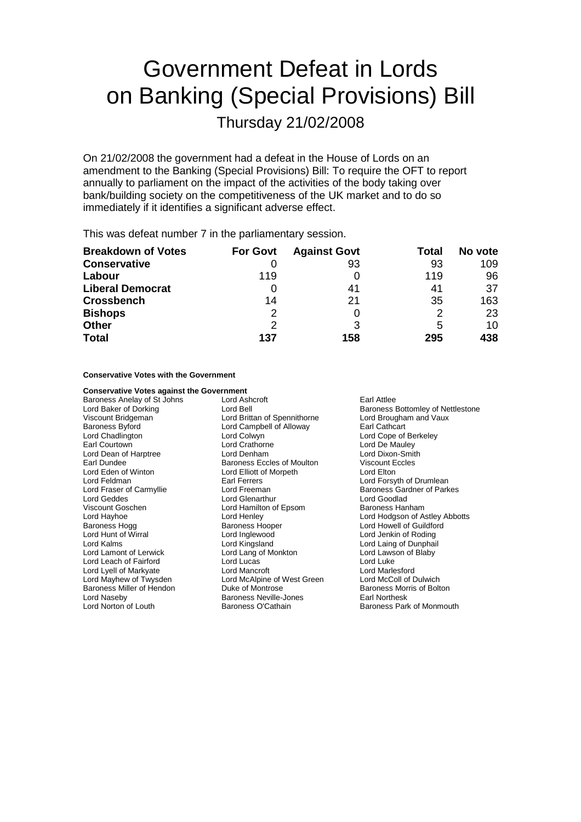# Government Defeat in Lords on Banking (Special Provisions) Bill

Thursday 21/02/2008

On 21/02/2008 the government had a defeat in the House of Lords on an amendment to the Banking (Special Provisions) Bill: To require the OFT to report annually to parliament on the impact of the activities of the body taking over bank/building society on the competitiveness of the UK market and to do so immediately if it identifies a significant adverse effect.

This was defeat number 7 in the parliamentary session.

| <b>Breakdown of Votes</b> | <b>For Govt</b> | <b>Against Govt</b> | Total | No vote |
|---------------------------|-----------------|---------------------|-------|---------|
| <b>Conservative</b>       |                 | 93                  | 93    | 109     |
| Labour                    | 119             |                     | 119   | 96      |
| <b>Liberal Democrat</b>   |                 | 41                  | 41    | 37      |
| <b>Crossbench</b>         | 14              | 21                  | 35    | 163     |
| <b>Bishops</b>            | 2               |                     | 2     | 23      |
| <b>Other</b>              | 2               | 3                   | 5     | 10      |
| <b>Total</b>              | 137             | 158                 | 295   | 438     |

**Conservative Votes with the Government**

| <b>Conservative Votes against the Government</b> |                               |                                          |
|--------------------------------------------------|-------------------------------|------------------------------------------|
| Baroness Anelay of St Johns                      | Lord Ashcroft                 | Earl Attlee                              |
| Lord Baker of Dorking                            | Lord Bell                     | <b>Baroness Bottomley of Nettlestone</b> |
| Viscount Bridgeman                               | Lord Brittan of Spennithorne  | Lord Brougham and Vaux                   |
| <b>Baroness Byford</b>                           | Lord Campbell of Alloway      | Earl Cathcart                            |
| Lord Chadlington                                 | Lord Colwyn                   | Lord Cope of Berkeley                    |
| Earl Courtown                                    | Lord Crathorne                | Lord De Mauley                           |
| Lord Dean of Harptree                            | Lord Denham                   | Lord Dixon-Smith                         |
| Earl Dundee                                      | Baroness Eccles of Moulton    | <b>Viscount Eccles</b>                   |
| Lord Eden of Winton                              | Lord Elliott of Morpeth       | Lord Elton                               |
| Lord Feldman                                     | Earl Ferrers                  | Lord Forsyth of Drumlean                 |
| Lord Fraser of Carmyllie                         | Lord Freeman                  | <b>Baroness Gardner of Parkes</b>        |
| Lord Geddes                                      | <b>Lord Glenarthur</b>        | Lord Goodlad                             |
| Viscount Goschen                                 | Lord Hamilton of Epsom        | Baroness Hanham                          |
| Lord Hayhoe                                      | Lord Henley                   | Lord Hodgson of Astley Abbotts           |
| Baroness Hogg                                    | <b>Baroness Hooper</b>        | Lord Howell of Guildford                 |
| Lord Hunt of Wirral                              | Lord Inglewood                | Lord Jenkin of Roding                    |
| Lord Kalms                                       | Lord Kingsland                | Lord Laing of Dunphail                   |
| Lord Lamont of Lerwick                           | Lord Lang of Monkton          | Lord Lawson of Blaby                     |
| Lord Leach of Fairford                           | Lord Lucas                    | Lord Luke                                |
| Lord Lyell of Markyate                           | Lord Mancroft                 | Lord Marlesford                          |
| Lord Mayhew of Twysden                           | Lord McAlpine of West Green   | Lord McColl of Dulwich                   |
| Baroness Miller of Hendon                        | Duke of Montrose              | Baroness Morris of Bolton                |
| Lord Naseby                                      | <b>Baroness Neville-Jones</b> | Earl Northesk                            |
| Lord Norton of Louth                             | Baroness O'Cathain            | Baroness Park of Monmouth                |
|                                                  |                               |                                          |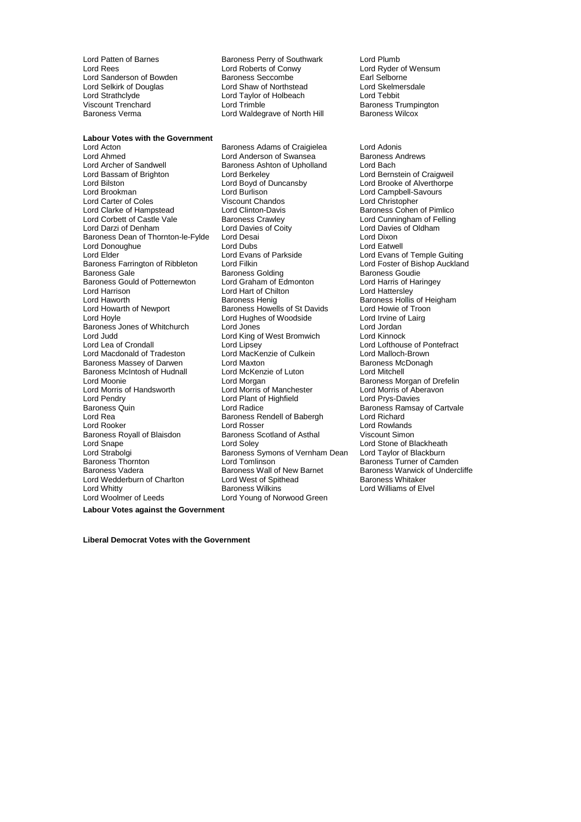Lord Strathclyde **Lord Taylor of Holbeach**<br>
Viscount Trenchard **Lord Trimble** 

Lord Patten of Barnes<br>
Lord Rees<br>
Lord Rees
Lord Roberts of Conwy
Lord Ryder of Wensum Lord Roberts of Conwy<br>
Baroness Seccombe<br>
Earl Selborne Lord Sanderson of Bowden Baroness Seccombe **Earl Selborne**<br>
Lord Selkirk of Douglas **Baroness Seccombe Contingly** Search Lord Skelmersdale Lord Selkirk of Douglas Lord Shaw of Northstead Lord Skelmers<br>
Lord Strathclyde Lord Taylor Cord Taylor of Holbeach Lord Tebbit Viscount Trenchard<br>
Baroness Verma<br>
Lord Waldegrave of North Hill Baroness Wilcox<br>
Baroness Verma Lord Waldegrave of North Hill

#### **Labour Votes with the Government**

Lord Ahmed Lord Anderson of Swansea Baroness /<br>Lord Archer of Sandwell Baroness Ashton of Upholland Lord Bach Lord Bassam of Brighton Lord Berkeley Lord Bernstein of Craigweil Lord Bilston Lord Boyd of Duncansby Lord Brooke of Alverthorpe<br>
Lord Brookman Lord Burlison Lord Burlison Lord Campbell-Savours Lord Carter of Coles<br>Lord Clarke of Hampstead Lord Clarke of Hampstead Lord Clinton-Davis **Baroness Cohen of Pimlico**<br>
Lord Corbett of Castle Vale Baroness Crawley **Baroness Crawley** Lord Cunningham of Felling Lord Corbett of Castle Vale Baroness Crawley **Lord Cunningham of Felling**<br>
Lord Darzi of Denham Lord Davies of Coity **Lord Davies of Oldham** Baroness Dean of Thornton-le-Fylde Lord Desai **Lorge Lord Dixon** Lord Donoughue **Lord Dubs** Lord Dubs Lord Eatwell<br>
Lord Elder Lord Evans Lord Evans of Parkside Lord Evans Lord Evans Lord Elder Temple Guiting<br>
Lord Evans of Temple Guiting<br>
Lord Eoster of Bishop Aucklan Baroness Farrington of Ribbleton Lord Filkin Lord Foster of Bishop Auckland<br>Baroness Gale Baroness Golding Baroness Coudie Baroness Gould of Potternewton Lord Graham of Edmonton Lord Harris of H<br>Lord Harrison Lord Harris Lord Hart of Chilton Lord Hatterslev Lord Harrison **Lord Hart of Chilton**<br>
Lord Haworth **Contains Containers** Baroness Henig Lord Haworth **Baroness Hollis Community**<br>
Baroness Hollis Baroness Hollis Baroness Hollis of Heigham<br>
Lord Howarth of Newport Baroness Howells of St Davids Lord Howie of Troon Lord Howarth of Newport Baroness Howells of St Davids Lord Howie of Troon<br>
Lord Hoyle Cord Internal Lord Hughes of Woodside Lord Irvine of Lairg Baroness Jones of Whitchurch Lord Judd Lord King of West Bromwich Lord Kinnock Lord Lea of Crondall **Lord Lipsey** Lord Lipsey Lord Lofthouse of Pontefract<br>
Lord Macdonald of Tradeston Lord MacKenzie of Culkein Lord Malloch-Brown Lord Macdonald of Tradeston Lord MacKenzie of Culkein Lord Malloch-Brown<br>
Baroness Massev of Darwen Lord Maxton Lord Maxton Baroness McDonagh Baroness Massey of Darwen<br>Baroness Massey of Darwen Lord Maxton<br>Baroness McIntosh of Hudnall Lord McKenzie of Luton Baroness McIntosh of Hudnall Lord McKenzie of Luton Lord Mitchell Lord Moonie **Lord Morgan** Cord Morgan Christen Baroness Morgan of Drefelin<br>
Lord Morris of Handsworth Lord Morris of Manchester **Cord Morris of Aberavon** Lord Morris of Handsworth Lord Morris of Manchester Lord Morris of Aberavon Lord Pendry<br>
Lord Pendry Lord Plant of Highfield Lord Prys-Davies Lord Pendry Lord Plant of Highfield<br>
Baroness Quin Lord Radice<br>
Lord Radice Baroness Quin **Commission Control Control** Lord Radice **Baroness Ramsay of Cartvale**<br>Lord Rea Lord Richard **Baroness Rendell of Babergh** Lord Richard Lord Rea Baroness Rendell of Babergh Lord Roader Lord Rosser Lord Rooker Lord Rosser Lord Rosser Lord Rowlands<br>
Baroness Royall of Blaisdon Baroness Scotland of Asthal Viscount Simon Baroness Royall of Blaisdon Baroness Scotland of Asthal<br>
Lord Snape Cord Soley Lord Snape (Edd Soley Lord Soley Lord Stone of Blackheath<br>Lord Strabolgi (Edd Baroness Symons of Vernham Dean Lord Taylor of Blackburn Baroness Thornton **Baroness Thornton** Lord Tomlinson **Baroness Turner of Camden**<br>Baroness Vadera **Baroness Wall of New Barnet** Baroness Warwick of Underc Baroness Vadera **Baroness Wall of New Barnet** Baroness Warwick of Undercliffe<br> **Baroness Whitaker** Lord West of Spithead **Baroness Whitaker** Lord Wedderburn of Charlton Lord West of Spithead Lord West of Spithead Baroness Wilkins Lord Woolmer of Leeds Lord Young of Norwood Green

Lord Acton **Communist Communist Baroness Adams of Craigielea** Lord Adonis<br>
Lord Ahmed **Communist Communist Communist Communist Communist Communist Communist Communist Communist Communist Communist Communist Communist Commu** Baroness Ashton of Upholland<br>Lord Berkeley Lord Burlison **Lord Campbell-Savours**<br>
Viscount Chandos **Lord Christopher** Baroness Golding<br>
Lord Graham of Edmonton<br>
Lord Harris of Haringey Lord Hughes of Woodside Lord Irvine of Lord Irvine of Lord Irvine of Lord Irvine of Lord International Lord International Lord International Lord International Lord International Lord International Lord International Lord Baroness Symons of Vernham Dean

Lord Davies of Oldham Lord Williams of Elvel

**Labour Votes against the Government**

**Liberal Democrat Votes with the Government**